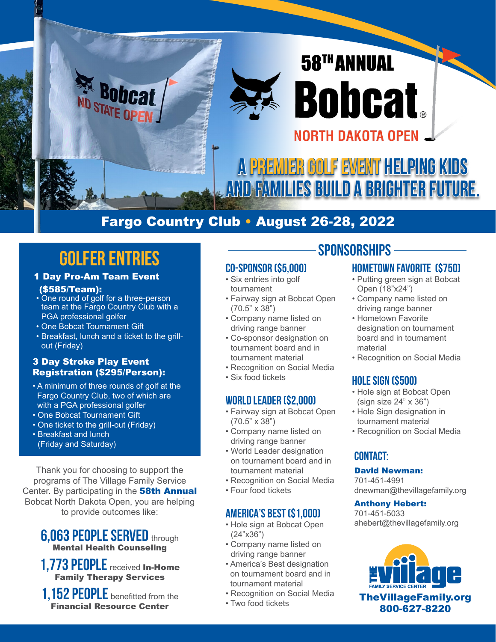

## Fargo Country Club • August 26-28, 2022

# **GOLFER ENTRIES**

- 1 Day Pro-Am Team Event (\$585/Team):
- One round of golf for a three-person team at the Fargo Country Club with a PGA professional golfer
- One Bobcat Tournament Gift
- Breakfast, lunch and a ticket to the grillout (Friday)

#### 3 Day Stroke Play Event Registration (\$295/Person):

- A minimum of three rounds of golf at the Fargo Country Club, two of which are with a PGA professional golfer
- One Bobcat Tournament Gift
- One ticket to the grill-out (Friday)
- Breakfast and lunch (Friday and Saturday)

Thank you for choosing to support the programs of The Village Family Service Center. By participating in the **58th Annual** Bobcat North Dakota Open, you are helping to provide outcomes like:

## **6,063 PEOPLE SERVED** through Mental Health Counseling

- **1,773 people** received In-Home Family Therapy Services
- **1,152 people** benefitted from the Financial Resource Center

## **CO-SPONSOR (\$5,000)**

- Six entries into golf tournament
- Fairway sign at Bobcat Open (70.5" x 38")
- Company name listed on driving range banner
- Co-sponsor designation on tournament board and in tournament material
- Recognition on Social Media
- Six food tickets

### **WORLD LEADER (\$2,000)**

- Fairway sign at Bobcat Open (70.5" x 38")
- Company name listed on driving range banner
- World Leader designation on tournament board and in tournament material
- Recognition on Social Media
- Four food tickets

### **AMERICA'S BEST (\$1,000)**

- Hole sign at Bobcat Open (24"x36")
- Company name listed on driving range banner
- America's Best designation on tournament board and in tournament material
- Recognition on Social Media
- Two food tickets

## **SPONSORSHIPS**

## **HOMETOWN FAVORITE (\$750)**

- Putting green sign at Bobcat Open (18"x24")
- Company name listed on driving range banner
- Hometown Favorite designation on tournament board and in tournament material
- Recognition on Social Media

## **HOLE SIGN (\$500)**

- Hole sign at Bobcat Open (sign size 24" x 36")
- Hole Sign designation in tournament material
- Recognition on Social Media

## **CONTACT:**

#### David Newman:

701-451-4991 dnewman@thevillagefamily.org

#### Anthony Hebert:

701-451-5033 ahebert@thevillagefamily.org